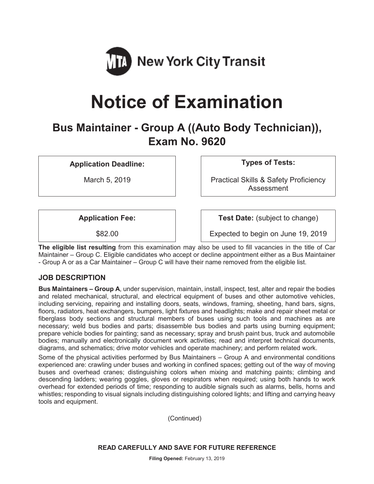

# **Notice of Examination**

# **Bus Maintainer - Group A ((Auto Body Technician)), Exam No. 9620**

**Application Deadline: Types of Tests:** 

March 5, 2019 **Practical Skills & Safety Proficiency** Assessment

**Application Fee:**  $\vert$  **Test Date:** (subject to change)

\$82.00 Expected to begin on June 19, 2019

**The eligible list resulting** from this examination may also be used to fill vacancies in the title of Car Maintainer – Group C. Eligible candidates who accept or decline appointment either as a Bus Maintainer - Group A or as a Car Maintainer – Group C will have their name removed from the eligible list.

## **JOB DESCRIPTION**

**Bus Maintainers – Group A**, under supervision, maintain, install, inspect, test, alter and repair the bodies and related mechanical, structural, and electrical equipment of buses and other automotive vehicles, including servicing, repairing and installing doors, seats, windows, framing, sheeting, hand bars, signs, floors, radiators, heat exchangers, bumpers, light fixtures and headlights; make and repair sheet metal or fiberglass body sections and structural members of buses using such tools and machines as are necessary; weld bus bodies and parts; disassemble bus bodies and parts using burning equipment; prepare vehicle bodies for painting; sand as necessary; spray and brush paint bus, truck and automobile bodies; manually and electronically document work activities; read and interpret technical documents, diagrams, and schematics; drive motor vehicles and operate machinery; and perform related work.

Some of the physical activities performed by Bus Maintainers – Group A and environmental conditions experienced are: crawling under buses and working in confined spaces; getting out of the way of moving buses and overhead cranes; distinguishing colors when mixing and matching paints; climbing and descending ladders; wearing goggles, gloves or respirators when required; using both hands to work overhead for extended periods of time; responding to audible signals such as alarms, bells, horns and whistles; responding to visual signals including distinguishing colored lights; and lifting and carrying heavy tools and equipment.

(Continued)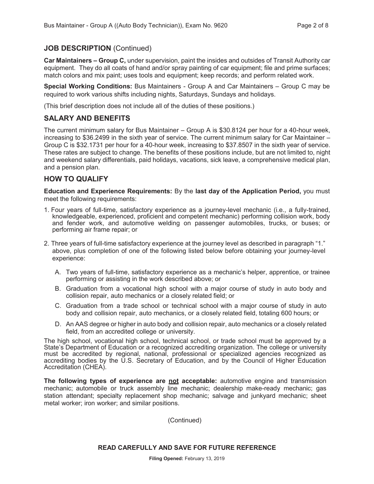#### **JOB DESCRIPTION** (Continued)

**Car Maintainers – Group C,** under supervision, paint the insides and outsides of Transit Authority car equipment. They do all coats of hand and/or spray painting of car equipment; file and prime surfaces; match colors and mix paint; uses tools and equipment; keep records; and perform related work.

**Special Working Conditions:** Bus Maintainers - Group A and Car Maintainers – Group C may be required to work various shifts including nights, Saturdays, Sundays and holidays.

(This brief description does not include all of the duties of these positions.)

#### **SALARY AND BENEFITS**

The current minimum salary for Bus Maintainer – Group A is \$30.8124 per hour for a 40-hour week, increasing to \$36.2499 in the sixth year of service. The current minimum salary for Car Maintainer – Group C is \$32.1731 per hour for a 40-hour week, increasing to \$37.8507 in the sixth year of service. These rates are subject to change. The benefits of these positions include, but are not limited to, night and weekend salary differentials, paid holidays, vacations, sick leave, a comprehensive medical plan, and a pension plan.

#### **HOW TO QUALIFY**

**Education and Experience Requirements:** By the **last day of the Application Period,** you must meet the following requirements:

- 1. Four years of full-time, satisfactory experience as a journey-level mechanic (i.e., a fully-trained, knowledgeable, experienced, proficient and competent mechanic) performing collision work, body and fender work, and automotive welding on passenger automobiles, trucks, or buses; or performing air frame repair; or
- 2. Three years of full-time satisfactory experience at the journey level as described in paragraph "1." above, plus completion of one of the following listed below before obtaining your journey-level experience:
	- A. Two years of full-time, satisfactory experience as a mechanic's helper, apprentice, or trainee performing or assisting in the work described above; or
	- B. Graduation from a vocational high school with a major course of study in auto body and collision repair, auto mechanics or a closely related field; or
	- C. Graduation from a trade school or technical school with a major course of study in auto body and collision repair, auto mechanics, or a closely related field, totaling 600 hours; or
	- D. An AAS degree or higher in auto body and collision repair, auto mechanics or a closely related field, from an accredited college or university.

The high school, vocational high school, technical school, or trade school must be approved by a State's Department of Education or a recognized accrediting organization. The college or university must be accredited by regional, national, professional or specialized agencies recognized as accrediting bodies by the U.S. Secretary of Education, and by the Council of Higher Education Accreditation (CHEA).

**The following types of experience are not acceptable:** automotive engine and transmission mechanic; automobile or truck assembly line mechanic; dealership make-ready mechanic; gas station attendant; specialty replacement shop mechanic; salvage and junkyard mechanic; sheet metal worker; iron worker; and similar positions.

(Continued)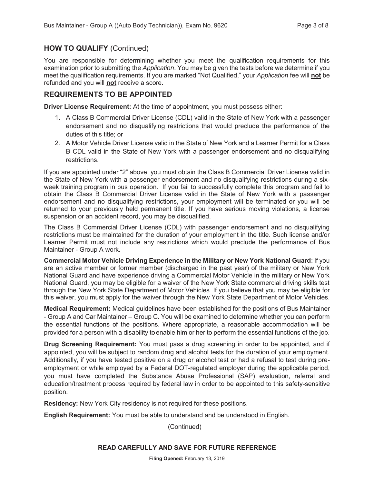#### **HOW TO QUALIFY** (Continued)

You are responsible for determining whether you meet the qualification requirements for this examination prior to submitting the *Application*. You may be given the tests before we determine if you meet the qualification requirements. If you are marked "Not Qualified," your *Application* fee will **not** be refunded and you will **not** receive a score.

#### **REQUIREMENTS TO BE APPOINTED**

**Driver License Requirement:** At the time of appointment, you must possess either:

- 1. A Class B Commercial Driver License (CDL) valid in the State of New York with a passenger endorsement and no disqualifying restrictions that would preclude the performance of the duties of this title; or
- 2. A Motor Vehicle Driver License valid in the State of New York and a Learner Permit for a Class B CDL valid in the State of New York with a passenger endorsement and no disqualifying restrictions.

If you are appointed under "2" above, you must obtain the Class B Commercial Driver License valid in the State of New York with a passenger endorsement and no disqualifying restrictions during a sixweek training program in bus operation. If you fail to successfully complete this program and fail to obtain the Class B Commercial Driver License valid in the State of New York with a passenger endorsement and no disqualifying restrictions, your employment will be terminated or you will be returned to your previously held permanent title. If you have serious moving violations, a license suspension or an accident record, you may be disqualified.

The Class B Commercial Driver License (CDL) with passenger endorsement and no disqualifying restrictions must be maintained for the duration of your employment in the title. Such license and/or Learner Permit must not include any restrictions which would preclude the performance of Bus Maintainer - Group A work.

**Commercial Motor Vehicle Driving Experience in the Military or New York National Guard**: If you are an active member or former member (discharged in the past year) of the military or New York National Guard and have experience driving a Commercial Motor Vehicle in the military or New York National Guard, you may be eligible for a waiver of the New York State commercial driving skills test through the New York State Department of Motor Vehicles. If you believe that you may be eligible for this waiver, you must apply for the waiver through the New York State Department of Motor Vehicles.

**Medical Requirement:** Medical guidelines have been established for the positions of Bus Maintainer - Group A and Car Maintainer – Group C. You will be examined to determine whether you can perform the essential functions of the positions. Where appropriate, a reasonable accommodation will be provided for a person with a disability toenable him or her to perform the essential functions of the job.

**Drug Screening Requirement:** You must pass a drug screening in order to be appointed, and if appointed, you will be subject to random drug and alcohol tests for the duration of your employment. Additionally, if you have tested positive on a drug or alcohol test or had a refusal to test during preemployment or while employed by a Federal DOT-regulated employer during the applicable period, you must have completed the Substance Abuse Professional (SAP) evaluation, referral and education/treatment process required by federal law in order to be appointed to this safety-sensitive position.

**Residency:** New York City residency is not required for these positions.

**English Requirement:** You must be able to understand and be understood in English.

(Continued)

#### **READ CAREFULLY AND SAVE FOR FUTURE REFERENCE**

**Filing Opened:** February 13, 2019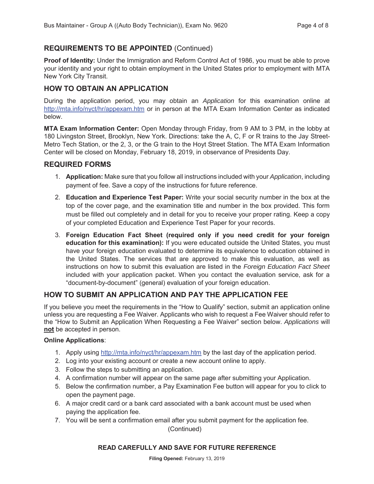# **REQUIREMENTS TO BE APPOINTED** (Continued)

**Proof of Identity:** Under the Immigration and Reform Control Act of 1986, you must be able to prove your identity and your right to obtain employment in the United States prior to employment with MTA New York City Transit.

#### **HOW TO OBTAIN AN APPLICATION**

During the application period, you may obtain an *Application* for this examination online at http://mta.info/nyct/hr/appexam.htm or in person at the MTA Exam Information Center as indicated below.

**MTA Exam Information Center:** Open Monday through Friday, from 9 AM to 3 PM, in the lobby at 180 Livingston Street, Brooklyn, New York. Directions: take the A, C, F or R trains to the Jay Street-Metro Tech Station, or the 2, 3, or the G train to the Hoyt Street Station. The MTA Exam Information Center will be closed on Monday, February 18, 2019, in observance of Presidents Day.

#### **REQUIRED FORMS**

- 1. **Application:** Make sure that you follow all instructions included with your *Application*, including payment of fee. Save a copy of the instructions for future reference.
- 2. **Education and Experience Test Paper:** Write your social security number in the box at the top of the cover page, and the examination title and number in the box provided. This form must be filled out completely and in detail for you to receive your proper rating. Keep a copy of your completed Education and Experience Test Paper for your records.
- 3. **Foreign Education Fact Sheet (required only if you need credit for your foreign education for this examination):** If you were educated outside the United States, you must have your foreign education evaluated to determine its equivalence to education obtained in the United States. The services that are approved to make this evaluation, as well as instructions on how to submit this evaluation are listed in the *Foreign Education Fact Sheet* included with your application packet. When you contact the evaluation service, ask for a "document-by-document" (general) evaluation of your foreign education.

## **HOW TO SUBMIT AN APPLICATION AND PAY THE APPLICATION FEE**

If you believe you meet the requirements in the "How to Qualify" section, submit an application online unless you are requesting a Fee Waiver. Applicants who wish to request a Fee Waiver should refer to the "How to Submit an Application When Requesting a Fee Waiver" section below. *Applications* will **not** be accepted in person.

#### **Online Applications**:

- 1. Apply using http://mta.info/nyct/hr/appexam.htm by the last day of the application period.
- 2. Log into your existing account or create a new account online to apply.
- 3. Follow the steps to submitting an application.
- 4. A confirmation number will appear on the same page after submitting your Application.
- 5. Below the confirmation number, a Pay Examination Fee button will appear for you to click to open the payment page.
- 6. A major credit card or a bank card associated with a bank account must be used when paying the application fee.
- 7. You will be sent a confirmation email after you submit payment for the application fee.

(Continued)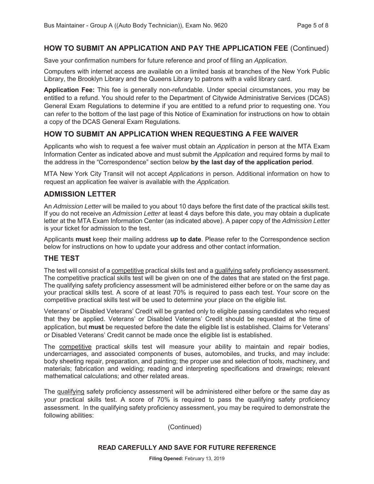#### **HOW TO SUBMIT AN APPLICATION AND PAY THE APPLICATION FEE** (Continued)

Save your confirmation numbers for future reference and proof of filing an *Application.*

Computers with internet access are available on a limited basis at branches of the New York Public Library, the Brooklyn Library and the Queens Library to patrons with a valid library card.

**Application Fee:** This fee is generally non-refundable. Under special circumstances, you may be entitled to a refund. You should refer to the Department of Citywide Administrative Services (DCAS) General Exam Regulations to determine if you are entitled to a refund prior to requesting one. You can refer to the bottom of the last page of this Notice of Examination for instructions on how to obtain a copy of the DCAS General Exam Regulations.

#### **HOW TO SUBMIT AN APPLICATION WHEN REQUESTING A FEE WAIVER**

Applicants who wish to request a fee waiver must obtain an *Application* in person at the MTA Exam Information Center as indicated above and must submit the *Application* and required forms by mail to the address in the "Correspondence" section below **by the last day of the application period**.

MTA New York City Transit will not accept *Applications* in person. Additional information on how to request an application fee waiver is available with the *Application.*

#### **ADMISSION LETTER**

An *Admission Letter* will be mailed to you about 10 days before the first date of the practical skills test. If you do not receive an *Admission Letter* at least 4 days before this date, you may obtain a duplicate letter at the MTA Exam Information Center (as indicated above). A paper copy of the *Admission Letter* is your ticket for admission to the test.

Applicants **must** keep their mailing address **up to date**. Please refer to the Correspondence section below for instructions on how to update your address and other contact information.

#### **THE TEST**

The test will consist of a competitive practical skills test and a qualifying safety proficiency assessment. The competitive practical skills test will be given on one of the dates that are stated on the first page. The qualifying safety proficiency assessment will be administered either before or on the same day as your practical skills test. A score of at least 70% is required to pass each test. Your score on the competitive practical skills test will be used to determine your place on the eligible list.

Veterans' or Disabled Veterans' Credit will be granted only to eligible passing candidates who request that they be applied. Veterans' or Disabled Veterans' Credit should be requested at the time of application, but **must** be requested before the date the eligible list is established. Claims for Veterans' or Disabled Veterans' Credit cannot be made once the eligible list is established.

The competitive practical skills test will measure your ability to maintain and repair bodies, undercarriages, and associated components of buses, automobiles, and trucks, and may include: body sheeting repair, preparation, and painting; the proper use and selection of tools, machinery, and materials; fabrication and welding; reading and interpreting specifications and drawings; relevant mathematical calculations; and other related areas.

The qualifying safety proficiency assessment will be administered either before or the same day as your practical skills test. A score of 70% is required to pass the qualifying safety proficiency assessment. In the qualifying safety proficiency assessment, you may be required to demonstrate the following abilities:

(Continued)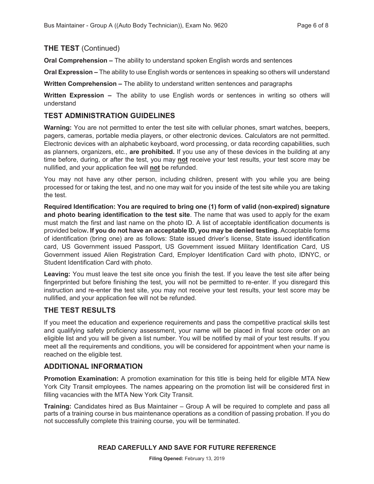#### **THE TEST** (Continued)

**Oral Comprehension –** The ability to understand spoken English words and sentences

**Oral Expression –** The ability to use English words or sentences in speaking so others will understand

**Written Comprehension –** The ability to understand written sentences and paragraphs

**Written Expression –** The ability to use English words or sentences in writing so others will understand

#### **TEST ADMINISTRATION GUIDELINES**

**Warning:** You are not permitted to enter the test site with cellular phones, smart watches, beepers, pagers, cameras, portable media players, or other electronic devices. Calculators are not permitted. Electronic devices with an alphabetic keyboard, word processing, or data recording capabilities, such as planners, organizers, etc., **are prohibited.** If you use any of these devices in the building at any time before, during, or after the test, you may **not** receive your test results, your test score may be nullified, and your application fee will **not** be refunded.

You may not have any other person, including children, present with you while you are being processed for or taking the test, and no one may wait for you inside of the test site while you are taking the test.

**Required Identification: You are required to bring one (1) form of valid (non-expired) signature and photo bearing identification to the test site**. The name that was used to apply for the exam must match the first and last name on the photo ID. A list of acceptable identification documents is provided below**. If you do not have an acceptable ID, you may be denied testing.** Acceptable forms of identification (bring one) are as follows: State issued driver's license, State issued identification card, US Government issued Passport, US Government issued Military Identification Card, US Government issued Alien Registration Card, Employer Identification Card with photo, IDNYC, or Student Identification Card with photo.

**Leaving:** You must leave the test site once you finish the test. If you leave the test site after being fingerprinted but before finishing the test, you will not be permitted to re-enter. If you disregard this instruction and re-enter the test site, you may not receive your test results, your test score may be nullified, and your application fee will not be refunded.

#### **THE TEST RESULTS**

If you meet the education and experience requirements and pass the competitive practical skills test and qualifying safety proficiency assessment, your name will be placed in final score order on an eligible list and you will be given a list number. You will be notified by mail of your test results. If you meet all the requirements and conditions, you will be considered for appointment when your name is reached on the eligible test.

#### **ADDITIONAL INFORMATION**

**Promotion Examination:** A promotion examination for this title is being held for eligible MTA New York City Transit employees. The names appearing on the promotion list will be considered first in filling vacancies with the MTA New York City Transit.

**Training:** Candidates hired as Bus Maintainer – Group A will be required to complete and pass all parts of a training course in bus maintenance operations as a condition of passing probation. If you do not successfully complete this training course, you will be terminated.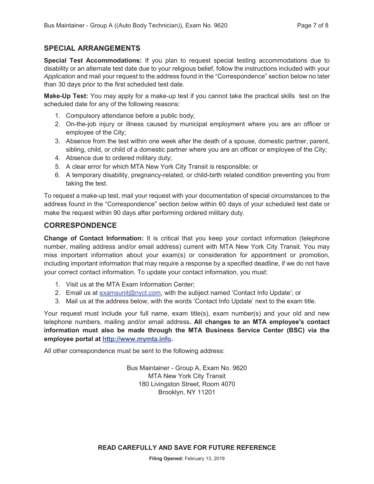#### **SPECIAL ARRANGEMENTS**

**Special Test Accommodations:** If you plan to request special testing accommodations due to disability or an alternate test date due to your religious belief, follow the instructions included with your *Application* and mail your request to the address found in the "Correspondence" section below no later than 30 days prior to the first scheduled test date.

**Make-Up Test:** You may apply for a make-up test if you cannot take the practical skills test on the scheduled date for any of the following reasons:

- 1. Compulsory attendance before a public body;
- 2. On-the-job injury or illness caused by municipal employment where you are an officer or employee of the City;
- 3. Absence from the test within one week after the death of a spouse, domestic partner, parent, sibling, child, or child of a domestic partner where you are an officer or employee of the City;
- 4. Absence due to ordered military duty;
- 5. A clear error for which MTA New York City Transit is responsible; or
- 6. A temporary disability, pregnancy-related, or child-birth related condition preventing you from taking the test.

To request a make-up test, mail your request with your documentation of special circumstances to the address found in the "Correspondence" section below within 60 days of your scheduled test date or make the request within 90 days after performing ordered military duty.

#### **CORRESPONDENCE**

**Change of Contact Information:** It is critical that you keep your contact information (telephone number, mailing address and/or email address) current with MTA New York City Transit. You may miss important information about your exam(s) or consideration for appointment or promotion, including important information that may require a response by a specified deadline, if we do not have your correct contact information. To update your contact information, you must:

- 1. Visit us at the MTA Exam Information Center;
- 2. Email us at examsunit@nyct.com, with the subject named 'Contact Info Update'; or
- 3. Mail us at the address below, with the words 'Contact Info Update' next to the exam title.

Your request must include your full name, exam title(s), exam number(s) and your old and new telephone numbers, mailing and/or email address**. All changes to an MTA employee's contact information must also be made through the MTA Business Service Center (BSC) via the employee portal at http://www.mymta.info.** 

All other correspondence must be sent to the following address:

Bus Maintainer - Group A, Exam No. 9620 MTA New York City Transit 180 Livingston Street, Room 4070 Brooklyn, NY 11201